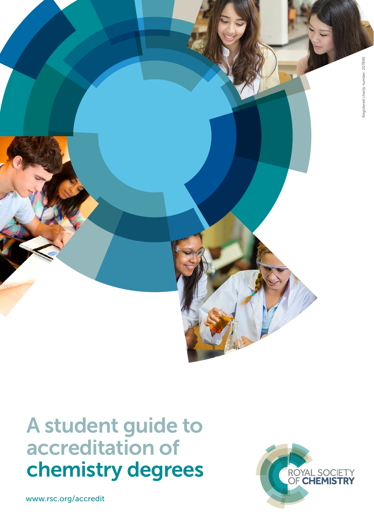

# A student guide to accreditation of chemistry degrees

www.rsc.org/accredit

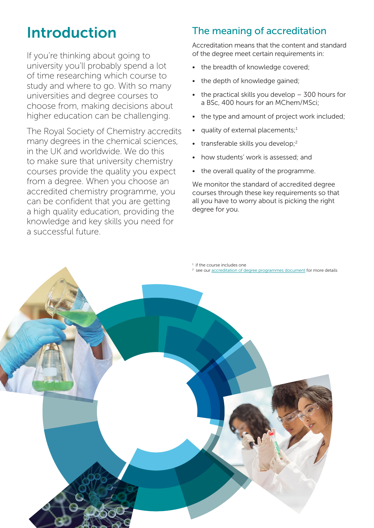# Introduction

If you're thinking about going to university you'll probably spend a lot of time researching which course to study and where to go. With so many universities and degree courses to choose from, making decisions about higher education can be challenging.

The Royal Society of Chemistry accredits many degrees in the chemical sciences, in the UK and worldwide. We do this to make sure that university chemistry courses provide the quality you expect from a degree. When you choose an accredited chemistry programme, you can be confident that you are getting a high quality education, providing the knowledge and key skills you need for a successful future.

# The meaning of accreditation

Accreditation means that the content and standard of the degree meet certain requirements in:

- the breadth of knowledge covered;
- the depth of knowledge gained;
- the practical skills you develop  $-$  300 hours for a BSc, 400 hours for an MChem/MSci;
- the type and amount of project work included;
- quality of external placements;<sup>1</sup>
- transferable skills you develop;<sup>2</sup>
- how students' work is assessed; and
- the overall quality of the programme.

We monitor the standard of accredited degree courses through these key requirements so that all you have to worry about is picking the right degree for you.

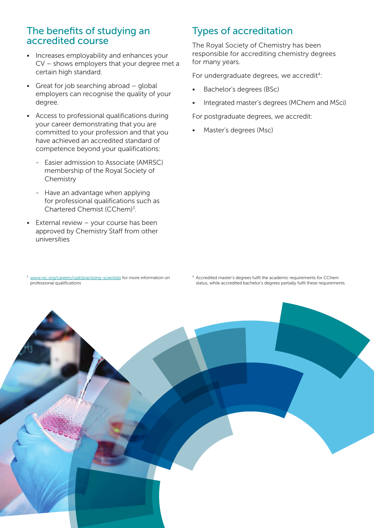#### The benefits of studying an accredited course

- Increases employability and enhances your CV – shows employers that your degree met a certain high standard.
- Great for job searching abroad global employers can recognise the quality of your degree.
- Access to professional qualifications during your career demonstrating that you are committed to your profession and that you have achieved an accredited standard of competence beyond your qualifications:
	- Easier admission to Associate (AMRSC) membership of the Royal Society of **Chemistry**
	- Have an advantage when applying for professional qualifications such as Chartered Chemist (CChem)<sup>3</sup>.
- External review your course has been approved by Chemistry Staff from other universities

## Types of accreditation

The Royal Society of Chemistry has been responsible for accrediting chemistry degrees for many years.

For undergraduate degrees, we accredit<sup>4</sup>:

- Bachelor's degrees (BSc)
- Integrated master's degrees (MChem and MSci)

For postgraduate degrees, we accredit:

• Master's degrees (Msc)

<sup>3</sup> [www.rsc.org/careers/cpd/practising-scientists](http://www.rsc.org/careers/cpd/practising-scientists) for more information on professional qualifications

4 Accredited master's degrees fulfil the academic requirements for CChem status, while accredited bachelor's degrees partially fulfil these requirements.